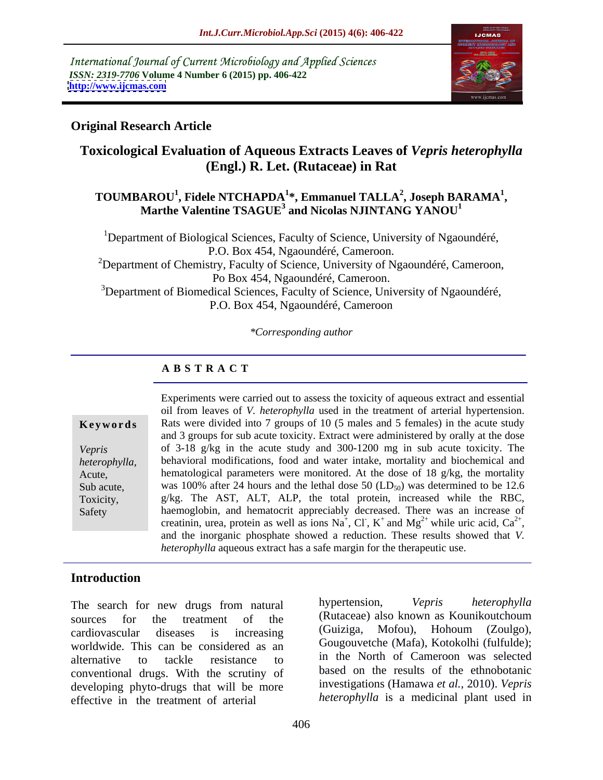International Journal of Current Microbiology and Applied Sciences *ISSN: 2319-7706* **Volume 4 Number 6 (2015) pp. 406-422 <http://www.ijcmas.com>**



### **Original Research Article**

### **Toxicological Evaluation of Aqueous Extracts Leaves of** *Vepris heterophylla* **(Engl.) R. Let. (Rutaceae) in Rat**

### **TOUMBAROU<sup>1</sup> , Fidele NTCHAPDA<sup>1</sup> \*, Emmanuel TALLA<sup>2</sup> , Marthe Valentine TSAGUE3 and Nicolas NJINTANG YANOU<sup>1</sup> , Joseph BARAMA<sup>1</sup>**

<sup>1</sup>Department of Biological Sciences, Faculty of Science, University of Ngaoundéré, P.O. Box 454, Ngaoundéré, Cameroon. <sup>2</sup>Department of Chemistry, Faculty of Science, University of Ngaoundéré, Cameroon, Po Box 454, Ngaoundéré, Cameroon. <sup>3</sup>Department of Biomedical Sciences, Faculty of Science, University of Ngaoundéré, P.O. Box 454, Ngaoundéré, Cameroon

*\*Corresponding author*

### **A B S T R A C T**

Safety

Experiments were carried out to assess the toxicity of aqueous extract and essential oil from leaves of *V. heterophylla* used in the treatment of arterial hypertension. **Keywords** Rats were divided into 7 groups of 10 (5 males and 5 females) in the acute study and 3 groups for sub acute toxicity. Extract were administered by orally at the dose of 3-18 g/kg in the acute study and 300-1200 mg in sub acute toxicity. The *Vepris*  behavioral modifications, food and water intake, mortality and biochemical and *heterophylla,*  hematological parameters were monitored. At the dose of 18 g/kg, the mortality Acute, Sub acute, was 100% after 24 hours and the lethal dose 50  $(LD_{50})$  was determined to be 12.6 Toxicity, g/kg. The AST, ALT, ALP, the total protein, increased while the RBC, haemoglobin, and hematocrit appreciably decreased. There was an increase of creatinin, urea, protein as well as ions Na<sup>+</sup>, Cl, K<sup>+</sup> and Mg<sup>2+</sup> while uric acid, Ca<sup>2+</sup>, ,  $K^+$  and  $Mg^{2+}$  while uric acid,  $Ca^{2+}$ , while uric acid,  $Ca^{2+}$ , , and the inorganic phosphate showed <sup>a</sup> reduction. These results showed that *V. heterophylla* aqueous extract has a safe margin for the therapeutic use.

### **Introduction**

worldwide. This can be considered as an conventional drugs. With the scrutiny of developing phyto-drugs that will be more effective in the treatment of arterial

The search for new drugs from natural hypertension, Vepris heterophylla sources for the treatment of the (Rutaceae) also known as Kounikoutchoum cardiovascular diseases is increasing alternative to tackle resistance to in the North of Cameroon was selected hypertension, *Vepris heterophylla* (Guiziga, Mofou), Hohoum (Zoulgo), Gougouvetche (Mafa), Kotokolhi (fulfulde); in the North of Cameroon was selected based on the results of the ethnobotanic investigations (Hamawa *et al.,* 2010). *Vepris heterophylla* is a medicinal plant used in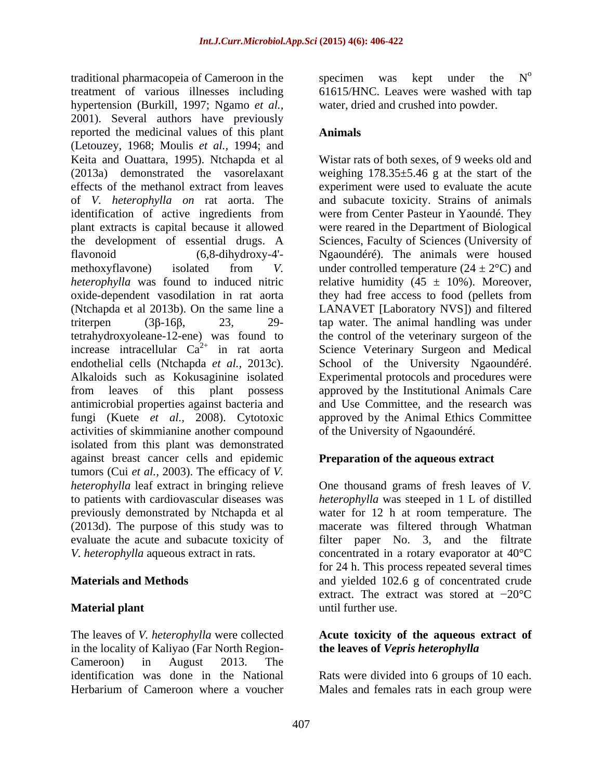treatment of various illnesses including 61615/HNC. Leaves were washed with tap hypertension (Burkill, 1997; Ngamo *et al.,* 2001). Several authors have previously reported the medicinal values of this plant **Animals** (Letouzey, 1968; Moulis *et al.,* 1994; and Keita and Ouattara, 1995). Ntchapda et al Wistar rats of both sexes, of 9 weeks old and (2013a) demonstrated the vasorelaxant weighing 178.35±5.46 g at the start of the effects of the methanol extract from leaves experiment were used to evaluate the acute of *V. heterophylla on* rat aorta. The and subacute toxicity. Strains of animals identification of active ingredients from plant extracts is capital because it allowed were reared in the Department of Biological the development of essential drugs. A Sciences, Faculty of Sciences (University of flavonoid (6,8-dihydroxy-4'- Ngaoundéré). The animals were housed methoxyflavone) isolated from *V*. under controlled temperature  $(24 \pm 2^{\circ}C)$  and *heterophylla* was found to induced nitric relative humidity  $(45 \pm 10\%)$ . Moreover, oxide-dependent vasodilation in rat aorta they had free access to food (pellets from (Ntchapda et al 2013b). On the same line a LANAVET [Laboratory NVS]) and filtered triterpen  $(3\beta - 16\beta,$  23, 29- tap water. The animal handling was under tetrahydroxyoleane-12-ene) was found to the control of the veterinary surgeon of the increase intracellular  $Ca^{2+}$  in rat aorta Science Veterinary Surgeon and Medical endothelial cells (Ntchapda *et al.,* 2013c). School of the University Ngaoundéré. Alkaloids such as Kokusaginine isolated Experimental protocols and procedures were from leaves of this plant possess approved by the Institutional Animals Care antimicrobial properties against bacteria and fungi (Kuete *et al.,* 2008). Cytotoxic approved by the Animal Ethics Committee activities of skimmianine another compound isolated from this plant was demonstrated against breast cancer cells and epidemic tumors (Cui *et al.,* 2003). The efficacy of *V. heterophylla* leaf extract in bringing relieve to patients with cardiovascular diseases was previously demonstrated by Ntchapda et al water for 12 h at room temperature. The (2013d). The purpose of this study was to macerate was filtered through Whatman evaluate the acute and subacute toxicity of filter paper No. 3, and the filtrate

The leaves of *V. heterophylla* were collected **Acute toxicity of the aqueous extract of** in the locality of Kaliyao (Far North Region- Cameroon) in August 2013. The identification was done in the National Rats were divided into 6 groups of 10 each.

traditional pharmacopeia of Cameroon in the specimen was kept under the  $N^{\circ}$ specimen was kept under the  $N<sup>o</sup>$ o water, dried and crushed into powder.

### **Animals**

experiment were used to evaluate the acute were from Center Pasteur in Yaoundé. They and Use Committee, and the research was of the University of Ngaoundéré.

### **Preparation of the aqueous extract**

*V. heterophylla* aqueous extract in rats. concentrated in a rotary evaporator at 40°C **Materials and Methods** and yielded 102.6 g of concentrated crude **Material plant** and **a contract a** contract with the use. One thousand grams of fresh leaves of *V. heterophylla* was steeped in 1 L of distilled for 24 h. This process repeated several times extract. The extract was stored at  $-20^{\circ}$ C until further use.

## **the leaves of** *Vepris heterophylla*

Herbarium of Cameroon where a voucher Males and females rats in each group were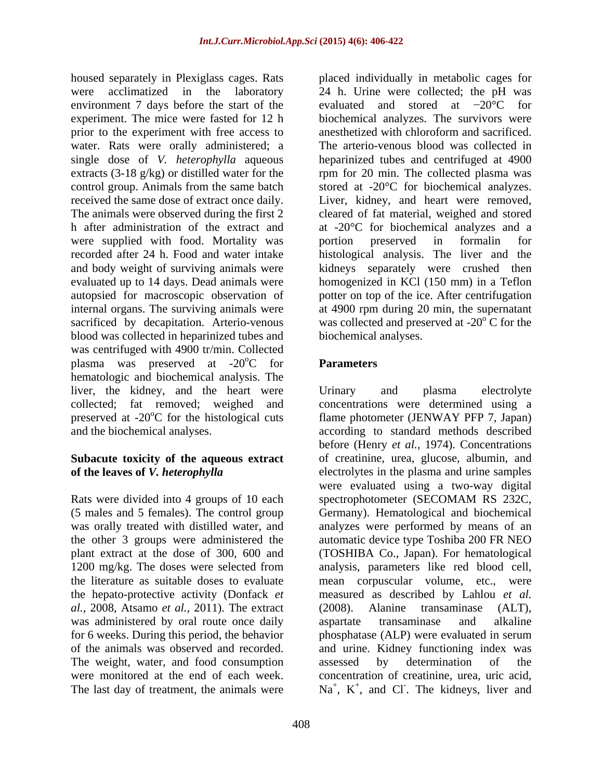housed separately in Plexiglass cages. Rats placed individually in metabolic cages for were acclimatized in the laboratory 24 h. Urine were collected; the pH was environment 7 days before the start of the evaluated and stored at  $-20^{\circ}$ C for experiment. The mice were fasted for 12 h biochemical analyzes. The survivors were prior to the experiment with free access to anesthetized with chloroform and sacrificed. water. Rats were orally administered; a single dose of *V. heterophylla* aqueous heparinized tubes and centrifuged at 4900 extracts (3-18 g/kg) or distilled water for the rpm for 20 min. The collected plasma was control group. Animals from the same batch stored at -20°C for biochemical analyzes. received the same dose of extract once daily. Liver, kidney, and heart were removed, The animals were observed during the first 2 cleared of fat material, weighed and stored h after administration of the extract and at -20<sup>o</sup>C for biochemical analyzes and a were supplied with food. Mortality was portion preserved in formalin for recorded after 24 h. Food and water intake histological analysis. The liver and the and body weight of surviving animals were kidneys separately were crushed then evaluated up to 14 days. Dead animals were homogenized in KCl (150 mm) in a Teflon autopsied for macroscopic observation of potter on top of the ice. After centrifugation internal organs. The surviving animals were at 4900 rpm during 20 min, the supernatant sacrificed by decapitation. Arterio-venous was collected and preserved at -20 $\mathrm{^oC}$  for the blood was collected in heparinized tubes and was centrifuged with 4900 tr/min. Collected plasma was preserved at  $-20^{\circ}$ C for **Parameters** hematologic and biochemical analysis. The liver, the kidney, and the heart were Urinary and plasma electrolyte preserved at  $-20^{\circ}$ C for the histological cuts

Rats were divided into 4 groups of 10 each spectrophotometer (SECOMAM RS 232C, *al.,* 2008, Atsamo *et al.,* 2011). The extract was administered by oral route once daily aspartate transaminase and alkaline The weight, water, and food consumption assessed by determination of the The last day of treatment, the animals were  $Na<sup>+</sup>$ ,  $K<sup>+</sup>$ , and Cl. The kidneys, liver and

evaluated and stored at  $-20^{\circ}$ C for anesthetized with chloroform and sacrificed. The arterio-venous blood was collected in portion preserved in formalin for C for the biochemical analyses.

### **Parameters**

collected; fat removed; weighed and concentrations were determined using a and the biochemical analyses. according to standard methods described **Subacute toxicity of the aqueous extract** of creatinine, urea, glucose, albumin, and **of the leaves of** *V. heterophylla* electrolytes in the plasma and urine samples (5 males and 5 females). The control group Germany). Hematological and biochemical was orally treated with distilled water, and analyzes were performed by means of an the other 3 groups were administered the automatic device type Toshiba 200 FR NEO plant extract at the dose of 300, 600 and (TOSHIBA Co., Japan). For hematological 1200 mg/kg. The doses were selected from analysis, parameters like red blood cell, the literature as suitable doses to evaluate mean corpuscular volume, etc., were the hepato-protective activity (Donfack *et*  measured as described by Lahlou *et al.* for 6 weeks. During this period, the behavior phosphatase (ALP) were evaluated in serum of the animals was observed and recorded. and urine. Kidney functioning index was were monitored at the end of each week. concentration of creatinine, urea, uric acid, Urinary and plasma electrolyte flame photometer (JENWAY PFP 7, Japan) before (Henry *et al.,* 1974). Concentrations were evaluated using a two-way digital spectrophotometer (SECOMAM RS 232C, (2008). Alanine transaminase (ALT), aspartate transaminase and alkaline assessed by determination of the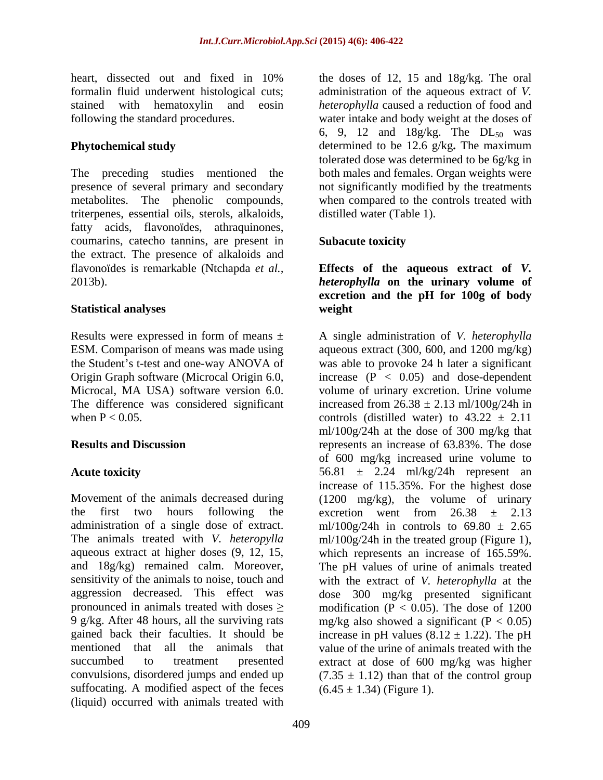presence of several primary and secondary triterpenes, essential oils, sterols, alkaloids, fatty acids, flavonoïdes, athraquinones, coumarins, catecho tannins, are present in the extract. The presence of alkaloids and flavonoïdes is remarkable (Ntchapda *et al.,* **Effects of the aqueous extract of** *V.* 

the first two hours following the excretion went from  $26.38 \pm 2.13$ suffocating. A modified aspect of the feces (liquid) occurred with animals treated with

heart, dissected out and fixed in 10% the doses of 12, 15 and 18g/kg. The oral formalin fluid underwent histological cuts; administration of the aqueous extract of *V.*  stained with hematoxylin and eosin *heterophylla* caused a reduction of food and following the standard procedures. water intake and body weight at the doses of **Phytochemical study** determined to be 12.6 g/kg. The maximum The preceding studies mentioned the both males and females. Organ weights were metabolites. The phenolic compounds, when compared to the controls treated with the doses of 12, 15 and 18g/kg. The oral 6, 9, 12 and  $18g/kg$ . The  $DL_{50}$  was tolerated dose was determined to be 6g/kg in not significantly modified by the treatments distilled water (Table 1).

### **Subacute toxicity**

2013b). *heterophylla* **on the urinary volume of Statistical analyses excretion and the pH for 100g of body weight**

Results were expressed in form of means ± A single administration of *V. heterophylla* ESM. Comparison of means was made using aqueous extract (300, 600, and 1200 mg/kg) the Student's t-test and one-way ANOVA of was able to provoke 24 h later a significant Origin Graph software (Microcal Origin 6.0, increase (P < 0.05) and dose-dependent Microcal, MA USA) software version 6.0. volume of urinary excretion. Urine volume The difference was considered significant increased from  $26.38 \pm 2.13$  ml/100g/24h in when  $P < 0.05$ . controls (distilled water) to  $43.22 \pm 2.11$ **Results and Discussion** represents an increase of 63.83%. The dose **Acute toxicity** 56.81  $\pm$  2.24 ml/kg/24h represent an Movement of the animals decreased during (1200 mg/kg), the volume of urinary administration of a single dose of extract. ml/100g/24h in controls to  $69.80 \pm 2.65$ The animals treated with *V. heteropylla* ml/100g/24h in the treated group (Figure 1), aqueous extract at higher doses (9, 12, 15, which represents an increase of 165.59%. and 18g/kg) remained calm. Moreover, The pH values of urine of animals treated sensitivity of the animals to noise, touch and with the extract of *V. heterophylla* at the aggression decreased. This effect was dose 300 mg/kg presented significant pronounced in animals treated with doses  $\geq$  modification (P < 0.05). The dose of 1200 9 g/kg. After 48 hours, all the surviving rats mg/kg also showed a significant (P < 0.05) gained back their faculties. It should be increase in pH values  $(8.12 \pm 1.22)$ . The pH mentioned that all the animals that value of the urine of animals treated with the succumbed to treatment presented extract at dose of 600 mg/kg was higher convulsions, disordered jumps and ended up  $(7.35 \pm 1.12)$  than that of the control group ml/100g/24h at the dose of 300 mg/kg that of 600 mg/kg increased urine volume to increase of 115.35%. For the highest dose excretion went from  $26.38 \pm 2.13$  $(6.45 \pm 1.34)$  (Figure 1).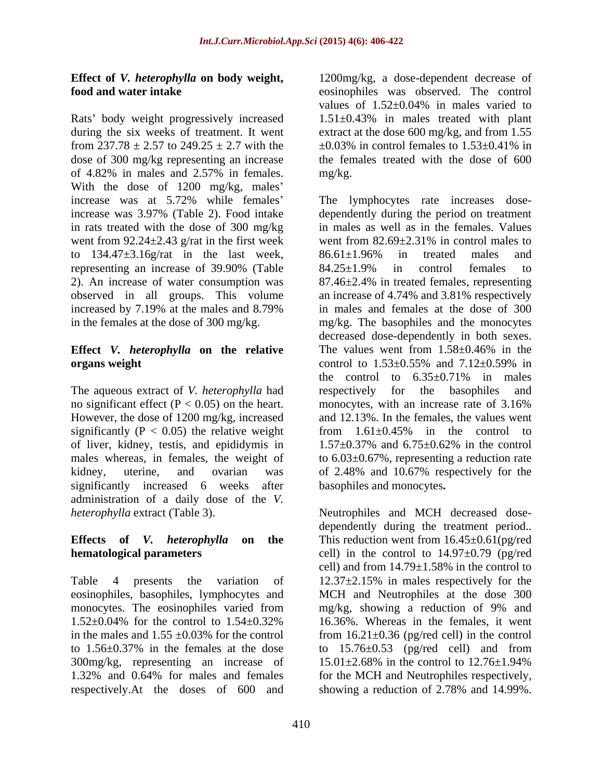Rats' body weight progressively increased during the six weeks of treatment. It went extract at the dose 600 mg/kg, and from 1.55 from 237.78  $\pm$  2.57 to 249.25  $\pm$  2.7 with the  $\pm$ 0.03% in control females to 1.53 $\pm$ 0.41% in dose of 300 mg/kg representing an increase of 4.82% in males and 2.57% in females. With the dose of 1200 mg/kg, males' in rats treated with the dose of 300 mg/kg went from 92.24 $\pm$ 2.43 g/rat in the first week went from 82.69 $\pm$ 2.31% in control males to to 134.47±3.16g/rat in the last week, 86.61±1.96% in treated males and

### **Effect** *V.**heterophylla* **on the relative The values went from 1.58±0.46% in the organs weight** control to 1.53±0.55% and 7.12±0.59% in

The aqueous extract of *V. heterophylla* had no significant effect  $(P < 0.05)$  on the heart. monocytes, with an increase rate of 3.16% However, the dose of 1200 mg/kg, increased significantly ( $P < 0.05$ ) the relative weight from  $1.61 \pm 0.45\%$  in the control to of liver, kidney, testis, and epididymis in  $1.57 \pm 0.37$ % and  $6.75 \pm 0.62$ % in the control significantly increased 6 weeks after administration of a daily dose of the *V.* 

300mg/kg, representing an increase of  $15.01 \pm 2.68\%$  in the control to  $12.76 \pm 1.94\%$ respectively.At the doses of 600 and showing a reduction of 2.78% and 14.99%.

**Effect of** *V. heterophylla* **on body weight,**  1200mg/kg, a dose-dependent decrease of **food and water intake** eosinophiles was observed. The control values of  $1.52\pm0.04\%$  in males varied to 1.51±0.43% in males treated with plant  $\pm 0.03\%$  in control females to  $1.53\pm 0.41\%$  in the females treated with the dose of 600 mg/kg.

increase was at 5.72% while females The lymphocytes rate increases dose increase was 3.97% (Table 2). Food intake dependently during the period on treatment representing an increase of 39.90% (Table  $84.25 \pm 1.9\%$  in control females to 2). An increase of water consumption was 87.46±2.4% in treated females, representing observed in all groups. This volume an increase of 4.74% and 3.81% respectively increased by 7.19% at the males and 8.79% in males and females at the dose of 300 in the females at the dose of 300 mg/kg. mg/kg. The basophiles and the monocytes males whereas, in females, the weight of to  $6.03\pm0.67$ %, representing a reduction rate kidney, uterine, and ovarian was of 2.48% and 10.67% respectively for the in males as well as in the females. Values went from 82.69±2.31% in control males to 86.61±1.96% in treated males and 84.25±1.9% in control females to in males and females at the dose of 300 decreased dose-dependently in both sexes. The values went from  $1.58 \pm 0.46\%$  in the control to  $1.53\pm0.55\%$  and  $7.12\pm0.59\%$  in the control to  $6.35\pm0.71\%$  in males respectively for the basophiles and monocytes, with an increase rate of 3.16% and 12.13%. In the females, the values went from  $1.61\pm0.45\%$  in the control to 1.57±0.37% and 6.75±0.62% in the control basophiles and monocytes**.**

*heterophylla* extract (Table 3). Neutrophiles and MCH decreased dose- **Effects of** *V. heterophylla* **on the** This reduction went from 16.45±0.61(pg/red **hematological parameters** cell) in the control to 14.97 $\pm$ 0.79 (pg/red Table 4 presents the variation of 12.37±2.15% in males respectively for the eosinophiles, basophiles, lymphocytes and MCH and Neutrophiles at the dose 300 monocytes. The eosinophiles varied from mg/kg, showing a reduction of 9% and  $1.52\pm0.04\%$  for the control to  $1.54\pm0.32\%$  16.36%. Whereas in the females, it went in the males and  $1.55 \pm 0.03\%$  for the control from  $16.21 \pm 0.36$  (pg/red cell) in the control to  $1.56\pm0.37\%$  in the females at the dose to  $15.76\pm0.53$  (pg/red cell) and from 1.32% and 0.64% for males and females for the MCH and Neutrophiles respectively, dependently during the treatment period.. cell) and from 14.79±1.58% in the control to mg/kg, showing a reduction of 9% and 16.36%. Whereas in the females, it went 15.01±2.68% in the control to 12.76±1.94% showing a reduction of 2.78% and 14.99%.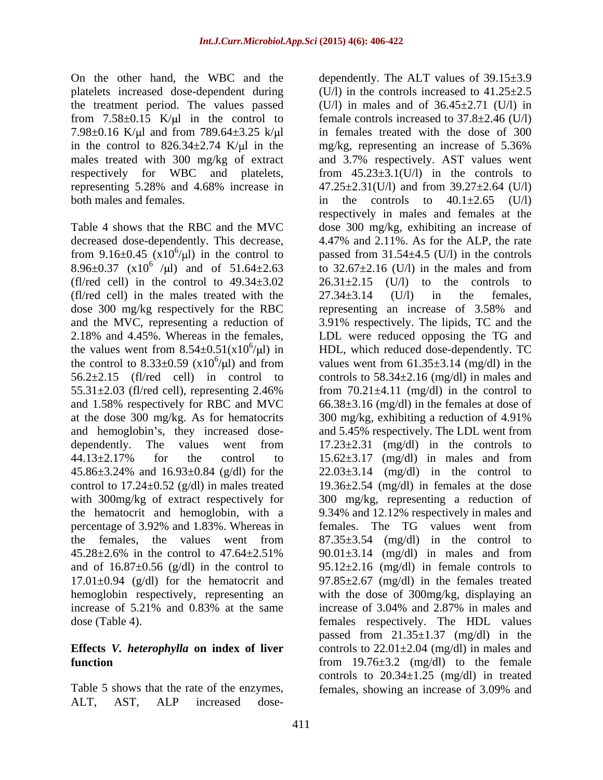the treatment period. The values passed 7.98 $\pm$ 0.16 K/ $\mu$ l and from 789.64 $\pm$ 3.25 k/ $\mu$ l in the control to  $826.34 \pm 2.74$  K/ $\mu$ l in the mg/kg, representing an increase of 5.36% representing 5.28% and 4.68% increase in

 $(f1/red \ cell)$  in the control to  $49.34 \pm 3.02$  26.31 $\pm 2.15$ (fl/red cell) in the males treated with the  $27.34\pm3.14$  (U/l) in the females, and 1.58% respectively for RBC and MVC at the dose 300 mg/kg. As for hematocrits 300 mg/kg, exhibiting a reduction of 4.91%

Table 5 shows that the rate of the enzymes, females, showing an increase of 3.09% and ALT, AST, ALP increased dose-

On the other hand, the WBC and the dependently. The ALT values of 39.15±3.9 platelets increased dose-dependent during (U/l) in the controls increased to 41.25±2.5 from  $7.58\pm0.15$  K/ $\mu$ l in the control to female controls increased to  $37.8\pm2.46$  (U/l) males treated with 300 mg/kg of extract and 3.7% respectively. AST values went respectively for WBC and platelets, from  $45.23 \pm 3.1$  (U/l) in the controls to both males and females.  $\qquad \qquad$  in the controls to  $40.1 \pm 2.65$  (U/l) Table 4 shows that the RBC and the MVC dose 300 mg/kg, exhibiting an increase of decreased dose-dependently. This decrease, 4.47% and 2.11%. As for the ALP, the rate from 9.16 $\pm$ 0.45 (x10<sup>6</sup>/µl) in the control to passed from 31.54 $\pm$ 4.5 (U/l) in the controls 8.96 $\pm$ 0.37 (x10<sup>6</sup> /µl) and of 51.64 $\pm$ 2.63 to 32.67 $\pm$ 2.16 (U/l) in the males and from dose 300 mg/kg respectively for the RBC representing an increase of 3.58% and and the MVC, representing a reduction of 3.91% respectively. The lipids, TC and the 2.18% and 4.45%. Whereas in the females, LDL were reduced opposing the TG and the values went from  $8.54 \pm 0.51(x10^6/\mu l)$  in HDL, which reduced dose-dependently. TC the control to 8.33 $\pm$ 0.59 (x10<sup>6</sup>/ $\mu$ l) and from values went from 61.35 $\pm$ 3.14 (mg/dl) in the  $56.2\pm2.15$  (fl/red cell) in control to controls to  $58.34\pm2.16$  (mg/dl) in males and 55.31±2.03 (fl/red cell), representing 2.46% from 70.21±4.11 (mg/dl) in the control to and hemoglobin's, they increased dose- and 5.45% respectively. The LDL went from dependently. The values went from  $17.23 \pm 2.31$  (mg/dl) in the controls to  $44.13 \pm 2.17\%$  for the control to  $15.62 \pm 3.17$  (mg/dl) in males and from  $45.86 \pm 3.24\%$  and  $16.93 \pm 0.84$  (g/dl) for the  $22.03 \pm 3.14$  (mg/dl) in the control to control to 17.24 $\pm$ 0.52 (g/dl) in males treated 19.36 $\pm$ 2.54 (mg/dl) in females at the dose with 300mg/kg of extract respectively for 300 mg/kg, representing a reduction of the hematocrit and hemoglobin, with a 9.34% and 12.12% respectively in males and percentage of 3.92% and 1.83%. Whereas in females. The TG values went from the females, the values went from 87.35±3.54 (mg/dl) in the control to  $45.28 \pm 2.6\%$  in the control to  $47.64 \pm 2.51\%$  90.01 $\pm 3.14$  (mg/dl) in males and from and of  $16.87 \pm 0.56$  (g/dl) in the control to 95.12 $\pm$ 2.16 (mg/dl) in female controls to 17.01±0.94 (g/dl) for the hematocrit and 97.85±2.67 (mg/dl) in the females treated hemoglobin respectively, representing an with the dose of 300mg/kg, displaying an increase of 5.21% and 0.83% at the same increase of 3.04% and 2.87% in males and dose (Table 4). females respectively. The HDL values **Effects** *V. heterophylla* **on index of liver** controls to 22.01±2.04 (mg/dl) in males and **function from** 19.76 $\pm$ 3.2 (mg/dl) to the female (U/l) in males and of  $36.45\pm2.71$  (U/l) in in females treated with the dose of 300 mg/kg, representing an increase of 5.36% 47.25±2.31(U/l) and from 39.27±2.64 (U/l) respectively in males and females at the  $(U/I)$  to the controls to  $27.34\pm3.14$  (U/l) in the females, 66.38±3.16 (mg/dl) in the females at dose of 300 mg/kg, exhibiting a reduction of 4.91%  $17.23\pm2.31$  (mg/dl) in the controls to females. The TG values went from 90.01±3.14 (mg/dl) in males and from increase of 3.04% and 2.87% in males and passed from  $21.35 \pm 1.37$  (mg/dl) in the controls to  $20.34 \pm 1.25$  (mg/dl) in treated females, showing an increase of 3.09% and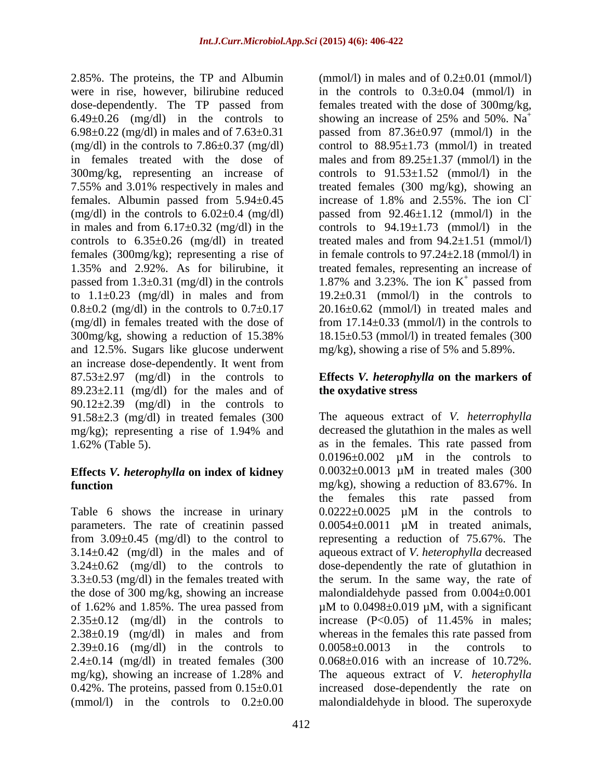2.85%. The proteins, the TP and Albumin dose-dependently. The TP passed from 6.49 $\pm$ 0.26 (mg/dl) in the controls to showing an increase of 25% and 50%. Na<sup>+</sup> 7.55% and 3.01% respectively in males and females. Albumin passed from 5.94±0.45 increase of 1.8% and 2.55%. The ion Cl  $0.8\pm0.2$  (mg/dl) in the controls to  $0.7\pm0.17$ and 12.5%. Sugars like glucose underwent an increase dose-dependently. It went from  $87.53\pm2.97$  (mg/dl) in the controls to  $89.23 \pm 2.11$  (mg/dl) for the males and of **the oxydative stress** 90.12 $\pm$ 2.39 (mg/dl) in the controls to 91.58±2.3 (mg/dl) in treated females (300

# **Effects** *V. heterophylla* **on index of kidney**

Table 6 shows the increase in urinary  $0.0222 \pm 0.0025$   $\mu$ M in the controls to the dose of 300 mg/kg, showing an increase  $2.35\pm0.12$  (mg/dl) in the controls to increase  $(P<0.05)$  of 11.45% in males;  $2.38\pm0.19$  (mg/dl) in males and from whereas in the females this rate passed from  $2.39\pm0.16$  (mg/dl) in the controls to  $0.0058\pm0.0013$  in the controls to  $2.4\pm0.14$  (mg/dl) in treated females (300

were in rise, however, bilirubine reduced in the controls to 0.3±0.04 (mmol/l) in 6.98±0.22 (mg/dl) in males and of 7.63±0.31 passed from 87.36±0.97 (mmol/l) in the (mg/dl) in the controls to 7.86 $\pm$ 0.37 (mg/dl) control to 88.95 $\pm$ 1.73 (mmol/l) in treated in females treated with the dose of males and from 89.25±1.37 (mmol/l) in the 300mg/kg, representing an increase of controls to 91.53±1.52 (mmol/l) in the (mg/dl) in the controls to  $6.02 \pm 0.4$  (mg/dl) passed from  $92.46 \pm 1.12$  (mmol/l) in the in males and from  $6.17\pm0.32$  (mg/dl) in the controls to  $94.19\pm1.73$  (mmol/l) in the controls to  $6.35\pm0.26$  (mg/dl) in treated treated males and from  $94.2\pm1.51$  (mmol/l) females (300mg/kg); representing a rise of in female controls to 97.24±2.18 (mmol/l) in 1.35% and 2.92%. As for bilirubine, it treated females, representing an increase of passed from  $1.3\pm0.31$  (mg/dl) in the controls  $1.87\%$  and  $3.23\%$ . The ion K<sup>+</sup> passed from to  $1.1\pm0.23$  (mg/dl) in males and from  $19.2\pm0.31$  (mmol/l) in the controls to  $(mg/dl)$  in females treated with the dose of from  $17.14 \pm 0.33$  (mmol/l) in the controls to 300mg/kg, showing a reduction of 15.38% 18.15±0.53 (mmol/l) in treated females (300 (mmol/l) in males and of  $0.2\pm0.01$  (mmol/l) females treated with the dose of 300mg/kg, showing an increase of 25% and 50%.  $Na<sup>+</sup>$ treated females (300 mg/kg), showing an increase of 1.8% and 2.55%. The ion Cl-  $\pm$  negged from passed from 20.16±0.62 (mmol/l) in treated males and mg/kg), showing a rise of 5% and 5.89%.

### **Effects** *V. heterophylla* **on the markers of the oxydative stress**

mg/kg); representing a rise of 1.94% and 1.62% (Table 5). as in the females. This rate passed from **function** mg/kg), showing a reduction of 83.67%. In parameters. The rate of creatinin passed  $0.0054 \pm 0.0011$  µM in treated animals, from 3.09±0.45 (mg/dl) to the control to representing a reduction of 75.67%. The 3.14±0.42 (mg/dl) in the males and of aqueous extract of *V. heterophylla* decreased  $3.24 \pm 0.62$  (mg/dl) to the controls to dose-dependently the rate of glutathion in  $3.3\pm0.53$  (mg/dl) in the females treated with the serum. In the same way, the rate of of 1.62% and 1.85%. The urea passed from  $\mu$ M to 0.0498 $\pm$ 0.019  $\mu$ M, with a significant mg/kg), showing an increase of 1.28% and The aqueous extract of *V. heterophylla* 0.42%. The proteins, passed from 0.15±0.01 increased dose-dependently the rate on (mmol/l) in the controls to 0.2±0.00 malondialdehyde in blood. The superoxydeThe aqueous extract of *V. heterrophylla* decreased the glutathion in the males as well  $0.0196 \pm 0.002$   $\mu$ M in the controls to 0.0032±0.0013 µM in treated males (300 the females this rate passed from  $0.0222 \pm 0.0025$  µM in the controls to malondialdehyde passed from 0.004±0.001 increase  $(P<0.05)$  of 11.45% in males; whereas in the females this rate passed from  $0.0058\pm0.0013$  in the controls to 0.068±0.016 with an increase of 10.72%.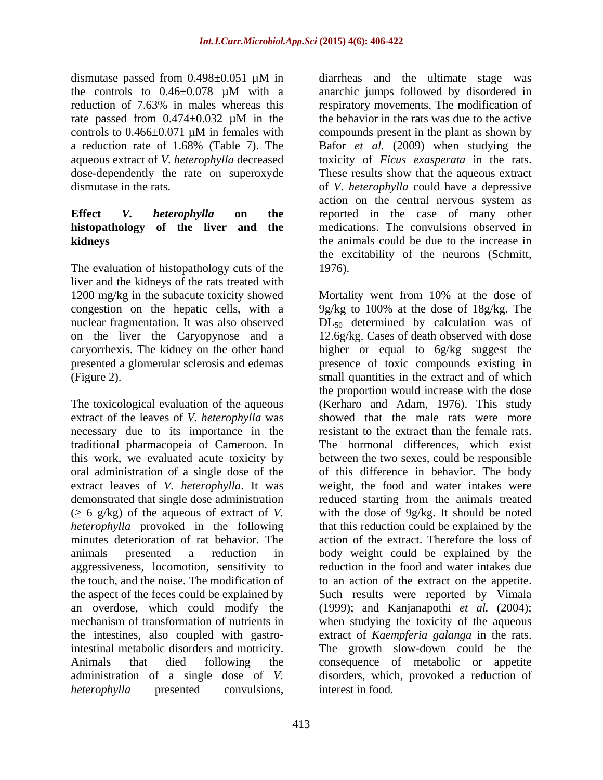# **histopathology of the liver and the**

The evaluation of histopathology cuts of the 1976). liver and the kidneys of the rats treated with nuclear fragmentation. It was also observed

The toxicological evaluation of the aqueous extract of the leaves of *V. heterophylla* was necessary due to its importance in the resistant to the extract than the female rats. traditional pharmacopeia of Cameroon. In aggressiveness, locomotion, sensitivity to

dismutase passed from  $0.498 \pm 0.051$   $\mu$ M in diarrheas and the ultimate stage was the controls to 0.46±0.078 µM with a reduction of 7.63% in males whereas this respiratory movements. The modification of rate passed from  $0.474 \pm 0.032$  µM in the the behavior in the rats was due to the active controls to  $0.466\pm0.071$  µM in females with compounds present in the plant as shown by a reduction rate of 1.68% (Table 7). The Bafor *et al.* (2009) when studying the aqueous extract of *V. heterophylla* decreased toxicity of *Ficus exasperata* in the rats. dose-dependently the rate on superoxyde These results show that the aqueous extract dismutase in the rats. of *V. heterophylla* could have a depressive **Effect** *V. heterophylla* **on the** reported in the case of many other **kidneys** the animals could be due to the increase in diarrheas and the ultimate stage was anarchic jumps followed by disordered in respiratory movements. The modification of the behavior in the rats was due to the active compounds present in the plant as shown by action on the central nervous system as medications. The convulsions observed in the excitability of the neurons (Schmitt, 1976).

1200 mg/kg in the subacute toxicity showed Mortality went from 10% at the dose of congestion on the hepatic cells, with a 9g/kg to 100% at the dose of 18g/kg. The on the liver the Caryopynose and a 12.6g/kg. Cases of death observed with dose caryorrhexis. The kidney on the other hand higher or equal to 6g/kg suggest the presented a glomerular sclerosis and edemas energy presence of toxic compounds existing in (Figure 2). small quantities in the extract and of which this work, we evaluated acute toxicity by between the two sexes, could be responsible oral administration of a single dose of the of this difference in behavior. The body extract leaves of *V. heterophylla*. It was weight, the food and water intakes were demonstrated that single dose administration reduced starting from the animals treated  $( \geq 6 \text{ g/kg})$  of the aqueous of extract of *V*. with the dose of 9g/kg. It should be noted *heterophylla* provoked in the following that this reduction could be explained by the minutes deterioration of rat behavior. The action of the extract. Therefore the loss of animals presented a reduction in body weight could be explained by the the touch, and the noise. The modification of to an action of the extract on the appetite. the aspect of the feces could be explained by Such results were reported by Vimala an overdose, which could modify the (1999); and Kanjanapothi *et al.* (2004); mechanism of transformation of nutrients in when studying the toxicity of the aqueous the intestines, also coupled with gastro-extract of *Kaempferia galanga* in the rats. intestinal metabolic disorders and motricity. The growth slow-down could be the Animals that died following the consequence of metabolic or appetite administration of a single dose of *V.*  disorders, which, provoked a reduction of *heterophylla* presented convulsions, interest in food. DL<sub>50</sub> determined by calculation was of the proportion would increase with the dose (Kerharo and Adam, 1976). This study showed that the male rats were more resistant to the extract than the female rats.The hormonal differences, which exist reduction in the food and water intakes due interest in food.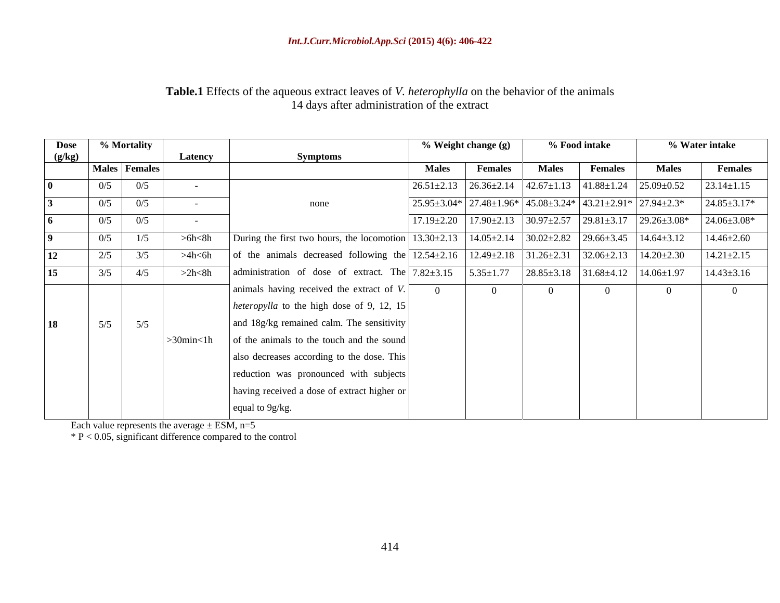### **Table.1** Effects of the aqueous extract leaves of *V. heterophylla* on the behavior of the animals 14 days after administration of the extract

| <b>Dose</b> |     | % Mortality          |                  |                                                                                                                                                                |                  | % Weight change (g)                                                                      |              | % Food intake                                      |                                                                                        | % Water intake     |
|-------------|-----|----------------------|------------------|----------------------------------------------------------------------------------------------------------------------------------------------------------------|------------------|------------------------------------------------------------------------------------------|--------------|----------------------------------------------------|----------------------------------------------------------------------------------------|--------------------|
| (g/kg)      |     |                      | Latency          | <b>Symptoms</b>                                                                                                                                                |                  |                                                                                          |              |                                                    |                                                                                        |                    |
|             |     | <b>Males Females</b> |                  |                                                                                                                                                                | <b>Males</b>     | <b>Females</b>                                                                           | <b>Males</b> | <b>Females</b>                                     | <b>Males</b>                                                                           | <b>Females</b>     |
|             | 0/5 | 0/5                  |                  |                                                                                                                                                                | $26.51 \pm 2.13$ | $26.36\pm2.14$ $42.67\pm1.13$ $41.88\pm1.24$ $25.09\pm0.52$                              |              |                                                    |                                                                                        | $23.14 \pm 1.15$   |
|             | 0/5 | 0/5                  |                  | none                                                                                                                                                           |                  | $25.95 \pm 3.04*$ 27.48 $\pm 1.96*$ 45.08 $\pm 3.24*$ 43.21 $\pm 2.91*$ 27.94 $\pm 2.3*$ |              |                                                    |                                                                                        | $24.85 \pm 3.17*$  |
|             | 0/5 | 0/5                  |                  |                                                                                                                                                                |                  |                                                                                          |              |                                                    | $17.19 \pm 2.20$ $17.90 \pm 2.13$ $30.97 \pm 2.57$ $29.81 \pm 3.17$ $29.26 \pm 3.08$ * | $24.06 \pm 3.08^*$ |
|             |     |                      |                  |                                                                                                                                                                |                  |                                                                                          |              |                                                    |                                                                                        |                    |
|             | 0/5 | 1/5                  | $>$ 6h $<$ 8h    | During the first two hours, the locomotion 13.30±2.13 14.05±2.14 30.02±2.82 29.66±3.45 14.64±3.12                                                              |                  |                                                                                          |              |                                                    |                                                                                        | $14.46 \pm 2.60$   |
| 12          | 2/5 | 3/5                  | >4h<6h           | of the animals decreased following the $\sqrt{12.54 \pm 2.16}$ $\sqrt{12.49 \pm 2.18}$ $\sqrt{31.26 \pm 2.31}$ $\sqrt{32.06 \pm 2.13}$ $\sqrt{14.20 \pm 2.30}$ |                  |                                                                                          |              |                                                    |                                                                                        | $14.21 \pm 2.15$   |
| 15          | 3/5 | 4/5                  | >2h<8h           | administration of dose of extract. The $\sqrt{7.82 \pm 3.15}$                                                                                                  |                  | $5.35 \pm 1.77$                                                                          |              | $28.85 \pm 3.18$ $31.68 \pm 4.12$ $14.06 \pm 1.97$ |                                                                                        | $14.43 \pm 3.16$   |
|             |     |                      |                  | animals having received the extract of $V$ .                                                                                                                   |                  |                                                                                          |              |                                                    |                                                                                        | $\Omega$           |
|             |     |                      |                  | <i>heteropylla</i> to the high dose of 9, 12, 15                                                                                                               |                  |                                                                                          |              |                                                    |                                                                                        |                    |
|             |     |                      |                  |                                                                                                                                                                |                  |                                                                                          |              |                                                    |                                                                                        |                    |
| <b>18</b>   | 5/5 | 5/5                  |                  | and 18g/kg remained calm. The sensitivity                                                                                                                      |                  |                                                                                          |              |                                                    |                                                                                        |                    |
|             |     |                      | $>30$ min $<$ 1h | of the animals to the touch and the sound                                                                                                                      |                  |                                                                                          |              |                                                    |                                                                                        |                    |
|             |     |                      |                  | also decreases according to the dose. This                                                                                                                     |                  |                                                                                          |              |                                                    |                                                                                        |                    |
|             |     |                      |                  | reduction was pronounced with subjects                                                                                                                         |                  |                                                                                          |              |                                                    |                                                                                        |                    |
|             |     |                      |                  | having received a dose of extract higher or                                                                                                                    |                  |                                                                                          |              |                                                    |                                                                                        |                    |
|             |     |                      |                  |                                                                                                                                                                |                  |                                                                                          |              |                                                    |                                                                                        |                    |
|             |     |                      |                  | equal to 9g/kg.                                                                                                                                                |                  |                                                                                          |              |                                                    |                                                                                        |                    |

Each value represents the average  $\pm$  ESM, n=5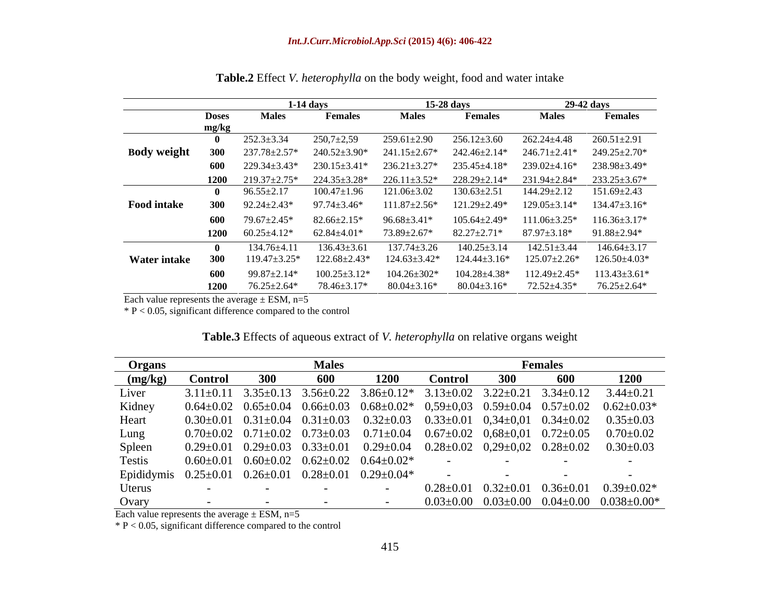|                     |              | 1-14 days           |                     | $15-28$ days        |                     | 29-42 days          |                    |
|---------------------|--------------|---------------------|---------------------|---------------------|---------------------|---------------------|--------------------|
|                     | <b>Doses</b> | <b>Males</b>        | Females             | <b>Males</b>        | <b>Females</b>      | <b>Males</b>        | <b>Females</b>     |
|                     | mg/kg        |                     |                     |                     |                     |                     |                    |
|                     |              | $252.3 \pm 3.34$    | $250,7{\pm}2,59$    | 259.61±2.90         | $256.12 \pm 3.60$   | $262.24 \pm 4.48$   | $260.51 \pm 2.91$  |
| <b>Body weight</b>  | 300          | 237.78±2.57*        | $240.52 \pm 3.90*$  | $241.15 \pm 2.67*$  | 242.46±2.14*        | $246.71 \pm 2.41*$  | 249.25±2.70*       |
|                     | 600          | $229.34 \pm 3.43^*$ | $230.15 \pm 3.41*$  | $236.21 \pm 3.27*$  | 235.45±4.18*        | $239.02 \pm 4.16^*$ | 238.98±3.49*       |
|                     | <b>1200</b>  | 219.37±2.75*        | $224.35 \pm 3.28^*$ | $226.11 \pm 3.52^*$ | 228.29±2.14*        | 231.94±2.84*        | $233.25 \pm 3.67*$ |
|                     |              | $96.55 \pm 2.17$    | $100.47 \pm 1.96$   | $121.06 \pm 3.02$   | 130.63±2.51         | $144.29 \pm 2.12$   | $151.69 \pm 2.43$  |
| <b>Food intake</b>  | <b>300</b>   | $92.24 \pm 2.43*$   | $97.74 \pm 3.46*$   | $111.87 \pm 2.56*$  | $121.29 \pm 2.49^*$ | $129.05 \pm 3.14*$  | $134.47 \pm 3.16*$ |
|                     | 600          | 79.67±2.45*         | $82.66 \pm 2.15*$   | $96.68 \pm 3.41*$   | $105.64 \pm 2.49*$  | $111.06 \pm 3.25$ * | $116.36 \pm 3.17*$ |
|                     | 1200         | $60.25 \pm 4.12*$   | $62.84 \pm 4.01*$   | 73.89±2.67*         | $82.27 \pm 2.71*$   | $87.97 \pm 3.18^*$  | $91.88 \pm 2.94*$  |
|                     |              | $134.76 \pm 4.11$   | $136.43 \pm 3.61$   | $137.74 \pm 3.26$   | $140.25 \pm 3.14$   | $142.51 \pm 3.44$   | $146.64 \pm 3.17$  |
| <b>Water intake</b> | -300         | $119.47 \pm 3.25$ * | $122.68 \pm 2.43*$  | $124.63 \pm 3.42^*$ | $124.44 \pm 3.16^*$ | $125.07 \pm 2.26*$  | $126.50\pm4.03*$   |
|                     | 600          | 99.87±2.14*         | $100.25 \pm 3.12*$  | $104.26 \pm 302*$   | 104.28±4.38*        | $112.49 \pm 2.45*$  | $113.43 \pm 3.61*$ |
|                     | 1200         | 76.25±2.64*         | 78.46±3.17*         | $80.04 \pm 3.16*$   | $80.04 \pm 3.16^*$  | 72.52±4.35*         | $76.25 \pm 2.64*$  |

**Table.2** Effect *V. heterophylla* on the body weight, food and water intake

Each value represents the average  $\pm$  ESM, n=5

 $*$  P < 0.05, significant difference compared to the control

| <b>Table.3</b> Effects of ag<br>heterophylla v<br>extrac<br>a relative organs weight<br>aqueous<br>⊺ot V.<br>$\iota\iota\iota\iota$ |  |
|-------------------------------------------------------------------------------------------------------------------------------------|--|
|                                                                                                                                     |  |

| Organs  | <b>Females</b><br><b>Males</b> |  |     |                                                                              |                |            |     |                                                                                                                                 |
|---------|--------------------------------|--|-----|------------------------------------------------------------------------------|----------------|------------|-----|---------------------------------------------------------------------------------------------------------------------------------|
| (mg/kg) | Control                        |  | 600 | l 200                                                                        | <b>Control</b> | <b>300</b> | 600 |                                                                                                                                 |
| Liver   |                                |  |     |                                                                              |                |            |     | $3.11\pm0.11$ $3.35\pm0.13$ $3.56\pm0.22$ $3.86\pm0.12$ $3.13\pm0.02$ $3.22\pm0.21$ $3.34\pm0.12$ $3.44\pm0.21$                 |
| Kidney  |                                |  |     |                                                                              |                |            |     | $0.64\pm0.02$ $0.65\pm0.04$ $0.66\pm0.03$ $0.68\pm0.02$ $0.59\pm0.03$ $0.59\pm0.04$ $0.57\pm0.02$ $0.62\pm0.03$ *               |
| Heart   |                                |  |     |                                                                              |                |            |     | $0.30\pm0.01$ $0.31\pm0.04$ $0.31\pm0.03$ $0.32\pm0.03$ $0.33\pm0.01$ $0.34\pm0.01$ $0.34\pm0.02$ $0.35\pm0.03$                 |
| Lung    |                                |  |     |                                                                              |                |            |     | $0.70\pm0.02$ $0.71\pm0.02$ $0.73\pm0.03$ $0.71\pm0.04$ $0.67\pm0.02$ $0.68\pm0.01$ $0.72\pm0.05$ $0.70\pm0.02$                 |
| Spleen  |                                |  |     |                                                                              |                |            |     | $0.29 \pm 0.01$ $0.29 \pm 0.03$ $0.33 \pm 0.01$ $0.29 \pm 0.04$ $0.28 \pm 0.02$ $0.29 \pm 0.02$ $0.28 \pm 0.02$ $0.30 \pm 0.03$ |
| Testis  |                                |  |     | $0.60\pm0.01$ $0.60\pm0.02$ $0.62\pm0.02$ $0.64\pm0.02$ *                    |                |            |     |                                                                                                                                 |
|         |                                |  |     | Epididymis $0.25 \pm 0.01$ $0.26 \pm 0.01$ $0.28 \pm 0.01$ $0.29 \pm 0.04$ * |                |            |     |                                                                                                                                 |
| Uterus  |                                |  |     |                                                                              |                |            |     | $0.28 \pm 0.01$ $0.32 \pm 0.01$ $0.36 \pm 0.01$ $0.39 \pm 0.02$ *                                                               |
| Ovary   |                                |  |     |                                                                              |                |            |     | $0.03\pm0.00$ $0.03\pm0.00$ $0.04\pm0.00$ $0.038\pm0.00*$                                                                       |

Each value represents the average  $\pm$  ESM, n=5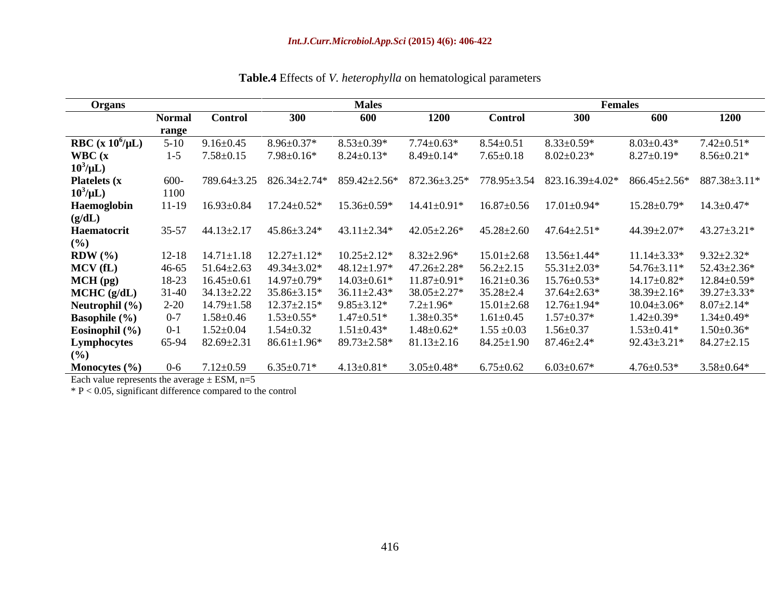| <b>Organs</b>            |               |                          |                              | <b>Males</b>       |                                                                                                                            |                   | <b>Females</b>                |                       |                                       |
|--------------------------|---------------|--------------------------|------------------------------|--------------------|----------------------------------------------------------------------------------------------------------------------------|-------------------|-------------------------------|-----------------------|---------------------------------------|
|                          | <b>Normal</b> | <b>Control</b>           | 300                          | 600                | 1200                                                                                                                       | <b>Control</b>    | 300                           | 600                   | 1200                                  |
|                          | range         |                          |                              |                    |                                                                                                                            |                   |                               |                       |                                       |
| RBC (x $10^6/\mu L$ )    | $5-10$        | $9.16 \pm 0.45$          | $8.96 \pm 0.37$ <sup>*</sup> | $8.53 \pm 0.39*$   | .74±0.63*                                                                                                                  | $8.54 \pm 0.3$    | $8.33 \pm 0.59*$              | $8.03 \pm 0.43*$      | $7.42 \pm 0.51*$                      |
| WBC(x)                   |               | $1-5$ $7.58 \pm 0.15$    | $7.98 \pm 0.16*$             | $8.24 \pm 0.13*$   | $8.49 \pm 0.14*$                                                                                                           | 7.65±0.18         | $8.02 \pm 0.23*$              | $8.27 \pm 0.19*$      | $8.56 \pm 0.21*$                      |
| $10^3/\mu L$ )           |               |                          |                              |                    |                                                                                                                            |                   |                               |                       |                                       |
| <b>Platelets</b> (x)     | 600-          |                          |                              |                    | 789.64±3.25                            826.34±2.74*                          859.42±2.56*                     872.36±3.25* |                   | 778.95±3.54 823.16.39±4.02*   | $866.45 {\pm} 2.56^*$ | 887.38±3.11*                          |
| $10^3/\mu L$ )           | 1100          |                          |                              |                    |                                                                                                                            |                   |                               |                       |                                       |
| Haemoglobin              |               | $11-19$ $16.93\pm0.84$   | $17.24 \pm 0.52^*$           | 15.36±0.59*        | 14.41±0.91*                                                                                                                | $16.87 \pm 0.56$  | $17.01 \pm 0.94*$             | $15.28 \pm 0.79*$     | $14.3 \pm 0.47*$                      |
| (g/dL)                   |               |                          |                              |                    |                                                                                                                            |                   |                               |                       |                                       |
| Haematocrit              |               | $35-57$ $44.13 \pm 2.17$ | 45.86±3.24*                  | $43.11 \pm 2.34*$  | 42.05±2.26*                                                                                                                | $45.28 \pm 2.60$  | 47.64±2.51*                   | 44.39±2.07*           | $43.27 \pm 3.21*$                     |
| (%)                      |               |                          |                              |                    |                                                                                                                            |                   |                               |                       |                                       |
| $RDW$ $(\% )$            | 12-18         | 14.71±1.18               | $12.27 \pm 1.12*$            | $10.25 \pm 2.12*$  | $8.32 \pm 2.96^*$                                                                                                          | $15.01 \pm 2.68$  | $13.56 \pm 1.44*$             | $11.14 \pm 3.33*$     | $9.32 \pm 2.32^*$                     |
| MCV(fL)                  | 46-65         | 51.64±2.63               | 49.34±3.02*                  | 48.12±1.97*        | $47.26 \pm 2.28^*$                                                                                                         | $56.2 \pm 2.15$   | $55.31 \pm 2.03*$             |                       | $54.76 \pm 3.11^*$ $52.43 \pm 2.36^*$ |
| $MCH$ (pg)               | 18-23         | $16.45 \pm 0.61$         | $14.97 \pm 0.79$ *           | $14.03 \pm 0.61*$  | $11.87 \pm 0.91*$                                                                                                          | $16.21 \pm 0.36$  | $15.76 \pm 0.53$ <sup>*</sup> | 14.17±0.82*           | $12.84 \pm 0.59*$                     |
| $MCHC$ (g/dL)            | $1-40$        | 34.13±2.22               | $35.86 + 3.15*$              | $36.11 \pm 2.43*$  | 38.05±2.27*                                                                                                                | $35.28 \pm 2.4$   | $37.64 \pm 2.63$ <sup>*</sup> | $38.39 \pm 2.16^*$    | $39.27 \pm 3.33*$                     |
| Neutrophil (%            |               | $14.79 \pm 1.58$         | $12.37 \pm 2.15*$            | $9.85 \pm 3.12*$   | $7.2 \pm 1.96*$                                                                                                            | $15.01 \pm 2.68$  | $12.76 \pm 1.94*$             | $10.04 \pm 3.06*$     | $8.07 \pm 2.14*$                      |
| <b>Basophile</b> $(\% )$ |               | 1.58±0.46                | $1.53 \pm 0.55*$             | $1.47 \pm 0.51*$   | $1.38 \pm 0.35*$                                                                                                           | $1.61 {\pm} 0.45$ | $1.57 \pm 0.37*$              | $1.42 \pm 0.39*$      | $1.34 \pm 0.49*$                      |
| Eosinophil (%)           |               | $1.52 \pm 0.04$          | $1.54 \pm 0.32$              | $1.51 \pm 0.43*$   | $1.48 \pm 0.62*$                                                                                                           | $1.55 \pm 0.03$   | $1.56 \pm 0.37$               | $1.53 \pm 0.41*$      | $1.50 \pm 0.36*$                      |
| Lymphocytes              | 65-94         | $82.69 \pm 2.31$         | $86.61 \pm 1.96*$            | $89.73 \pm 2.58^*$ | $81.13 \pm 2.16$                                                                                                           | 84.25±1.90        | $87.46 \pm 2.4*$              | $92.43 \pm 3.21*$     | $84.27 \pm 2.15$                      |
| $(\%)$                   |               |                          |                              |                    |                                                                                                                            |                   |                               |                       |                                       |
| Monocytes $(\% )$        |               | 1.12±0.59                | $6.35 \pm 0.71*$             | $4.13 \pm 0.81*$   | 3.05±0.48*                                                                                                                 | $6.75 \pm 0.62$   | $6.03 \pm 0.67*$              | $4.76 \pm 0.53*$      | $3.58 \pm 0.64*$                      |

**Table.4** Effects of *V. heterophylla* on hematological parameters

Each value represents the average  $\pm$  ESM, n=5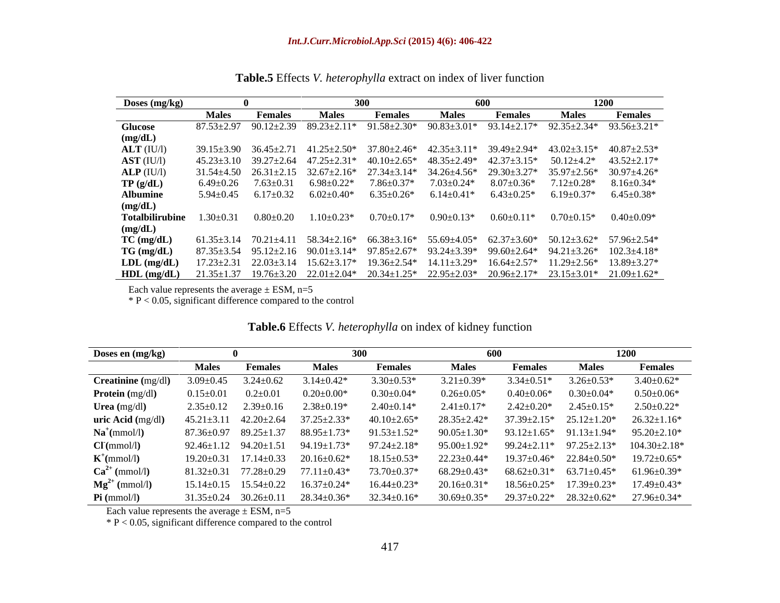| Doses (mg/kg)                                                                                                                                    |              |         |       |                                                           | 600                                                                                         |                  | <b>1200</b>                         |                                                                                                                                                                 |  |
|--------------------------------------------------------------------------------------------------------------------------------------------------|--------------|---------|-------|-----------------------------------------------------------|---------------------------------------------------------------------------------------------|------------------|-------------------------------------|-----------------------------------------------------------------------------------------------------------------------------------------------------------------|--|
|                                                                                                                                                  | <b>Males</b> | Females | Males | Females                                                   | <b>Males</b>                                                                                | Females          | <b>Males</b>                        | Females                                                                                                                                                         |  |
| <b>Glucose</b>                                                                                                                                   |              |         |       |                                                           |                                                                                             |                  |                                     | $87.53\pm2.97 \quad 90.12\pm2.39 \quad 89.23\pm2.11^* \quad 91.58\pm2.30^* \quad 90.83\pm3.01^* \quad 93.14\pm2.17^* \quad 92.35\pm2.34^* \quad 93.56\pm3.21^*$ |  |
| (mg/dL)                                                                                                                                          |              |         |       |                                                           |                                                                                             |                  |                                     |                                                                                                                                                                 |  |
| $ALT$ (IU/l)                                                                                                                                     |              |         |       |                                                           |                                                                                             |                  |                                     | $39.15\pm3.90$ $36.45\pm2.71$ $41.25\pm2.50^*$ $37.80\pm2.46^*$ $42.35\pm3.11^*$ $39.49\pm2.94^*$ $43.02\pm3.15^*$ $40.87\pm2.53^*$                             |  |
| $\bf AST$ (IU/l)                                                                                                                                 |              |         |       |                                                           |                                                                                             |                  |                                     | $45.23\pm3.10$ $39.27\pm2.64$ $47.25\pm2.31*$ $40.10\pm2.65*$ $48.35\pm2.49*$ $42.37\pm3.15*$ $50.12\pm4.2*$ $43.52\pm2.17*$                                    |  |
| $\mathbf{ALP}$ (IU/l)                                                                                                                            |              |         |       |                                                           |                                                                                             |                  |                                     | $31.54\pm4.50$ $26.31\pm2.15$ $32.67\pm2.16$ * $27.34\pm3.14$ * $34.26\pm4.56$ * $29.30\pm3.27$ * $35.97\pm2.56$ * $30.97\pm4.26$ *                             |  |
| TP(g/dL)                                                                                                                                         |              |         |       | $6.49\pm0.26$ $7.63\pm0.31$ $6.98\pm0.22*$ $7.86\pm0.37*$ | $7.03 \pm 0.24*$                                                                            | $8.07 \pm 0.36*$ |                                     | $7.12 \pm 0.28^*$ $8.16 \pm 0.34^*$                                                                                                                             |  |
| <b>Albumine</b>                                                                                                                                  |              |         |       |                                                           | $5.94\pm0.45$ $6.17\pm0.32$ $6.02\pm0.40^*$ $6.35\pm0.26^*$ $6.14\pm0.41^*$ $6.43\pm0.25^*$ |                  | $6.19 \pm 0.37^*$ $6.45 \pm 0.38^*$ |                                                                                                                                                                 |  |
| (mg/dL)                                                                                                                                          |              |         |       |                                                           |                                                                                             |                  |                                     |                                                                                                                                                                 |  |
| <b>Totalbilirubine</b> $1.30\pm0.31$ $0.80\pm0.20$ $1.10\pm0.23$ * $0.70\pm0.17$ * $0.90\pm0.13$ * $0.60\pm0.11$ *                               |              |         |       |                                                           |                                                                                             |                  | $0.70+0.15*$ $0.40+0.09*$           |                                                                                                                                                                 |  |
| (mg/dL)                                                                                                                                          |              |         |       |                                                           |                                                                                             |                  |                                     |                                                                                                                                                                 |  |
| $TC \, (mg/dL)$                                                                                                                                  |              |         |       |                                                           |                                                                                             |                  |                                     | $61.35\pm3.14$ $70.21\pm4.11$ $58.34\pm2.16$ $66.38\pm3.16$ $55.69\pm4.05$ $62.37\pm3.60$ $50.12\pm3.62$ $57.96\pm2.54$ $54.62$                                 |  |
| $TG \, (mg/dL)$                                                                                                                                  |              |         |       |                                                           |                                                                                             |                  |                                     | $87.35\pm3.54$ $95.12\pm2.16$ $90.01\pm3.14$ $97.85\pm2.67$ $93.24\pm3.39$ $99.60\pm2.64$ $94.21\pm3.26$ $102.3\pm4.18$ $18$                                    |  |
| $LDL$ (mg/dL)                                                                                                                                    |              |         |       |                                                           |                                                                                             |                  |                                     | $17.23 \pm 2.31$ $22.03 \pm 3.14$ $15.62 \pm 3.17$ $19.36 \pm 2.54$ $14.11 \pm 3.29$ $16.64 \pm 2.57$ $11.29 \pm 2.56$ $13.89 \pm 3.27$ *                       |  |
| <b>HDL</b> (mg/dL) $21.35\pm1.37$ $19.76\pm3.20$ $22.01\pm2.04*$ $20.34\pm1.25*$ $22.95\pm2.03*$ $20.96\pm2.17*$ $23.15\pm3.01*$ $21.09\pm1.62*$ |              |         |       |                                                           |                                                                                             |                  |                                     |                                                                                                                                                                 |  |

**Table.5** Effects *V. heterophylla* extract on index of liver function

Each value represents the average  $\pm$  ESM, n=5

 $* P < 0.05$ , significant difference compared to the control

| Doses en (mg/kg)          |                 |                                   |                                                      |                    | 600                |                      | 1200                                                     |                                                          |
|---------------------------|-----------------|-----------------------------------|------------------------------------------------------|--------------------|--------------------|----------------------|----------------------------------------------------------|----------------------------------------------------------|
|                           | <b>Males</b>    | <b>Females</b>                    | <b>Males</b>                                         | <b>Females</b>     | <b>Males</b>       | <b>Females</b>       | <b>Males</b>                                             | Females                                                  |
| <b>Creatinine</b> (mg/dl) | $3.09 \pm 0.45$ | $3.24 \pm 0.62$                   | $3.14 \pm 0.42*$                                     | $3.30 \pm 0.53*$   | 3.21±0.39*         | $^{3.34\pm0.51^{*}}$ | $3.26 \pm 0.53*$                                         | $3.40 \pm 0.62*$                                         |
| <b>Protein</b> (mg/dl)    | $0.15 \pm 0.01$ | $0.2 \pm 0.01$                    | $0.20 \pm 0.00*$                                     | $0.30 \pm 0.04*$   | $0.26 \pm 0.05*$   | $0.40 \pm 0.06*$     | $0.30{\pm}0.04*$                                         | $0.50{\pm}0.06*$                                         |
| Urea $(mg/dl)$            |                 | $2.35\pm0.12$ $2.39\pm0.16$       | $2.38 \pm 0.19*$                                     | $2.40 \pm 0.14*$   | $2.41 \pm 0.17*$   | $2.42 \pm 0.20*$     | $\angle .45 \pm 0.15^*$                                  | $2.50 \pm 0.22*$                                         |
| <b>uric Acid</b> (mg/dl)  |                 |                                   | $45.21 \pm 3.11$ $42.20 \pm 2.64$ $37.25 \pm 2.33$ * | $40.10 \pm 2.65*$  | 28.35±2.42*        |                      | $37.39 \pm 2.15^*$ $25.12 \pm 1.20^*$ $26.32 \pm 1.16^*$ |                                                          |
| $Na^+(mmol/l)$            |                 |                                   | $87.36 \pm 0.97$ $89.25 \pm 1.37$ $88.95 \pm 1.73$ * | $91.53 \pm 1.52^*$ | $90.05 \pm 1.30^*$ |                      | $93.12 \pm 1.65^*$ $91.13 \pm 1.94^*$ $95.20 \pm 2.10^*$ |                                                          |
| CI(mmol/l)                |                 |                                   | $92.46 \pm 1.12$ $94.20 \pm 1.51$ $94.19 \pm 1.73$ * | $97.24 \pm 2.18*$  | 95.00±1.92*        |                      |                                                          | 99.24 $\pm$ 2.11* 97.25 $\pm$ 2.13* 104.30 $\pm$ 2.18*   |
| $K^+$ (mmol/l)            |                 |                                   | $19.20 \pm 0.31$ $17.14 \pm 0.33$ $20.16 \pm 0.62$ * | $18.15 \pm 0.53*$  | $22.23 \pm 0.44*$  |                      | $19.37 \pm 0.46^*$ 22.84 $\pm 0.50^*$                    | $19.72 \pm 0.65^*$                                       |
| $Ca^{2+}$ (mmol/l)        |                 | $81.32 \pm 0.31$ $77.28 \pm 0.29$ | $77.11 \pm 0.43*$                                    | 73.70±0.37*        | 68.29±0.43*        |                      | $68.62 \pm 0.31^*$ $63.71 \pm 0.45^*$                    | 61.96±0.39*                                              |
| $Mg^{2+}$ (mmol/l)        |                 |                                   | $15.14 \pm 0.15$ $15.54 \pm 0.22$ $16.37 \pm 0.24$ * | $16.44 \pm 0.23*$  | $20.16 \pm 0.31*$  | $18.56 \pm 0.25*$    | 17.39±0.23*                                              | $17.49 \pm 0.43*$                                        |
| Pi (mmol/l)               |                 | $31.35 \pm 0.24$ $30.26 \pm 0.11$ | $28.34 \pm 0.36*$                                    | $32.34 \pm 0.16^*$ | $30.69 \pm 0.35^*$ |                      |                                                          | $29.37 \pm 0.22^*$ $28.32 \pm 0.62^*$ $27.96 \pm 0.34^*$ |

### **Table.6** Effects *V. heterophylla* on index of kidney function

Each value represents the average  $\pm$  ESM, n=5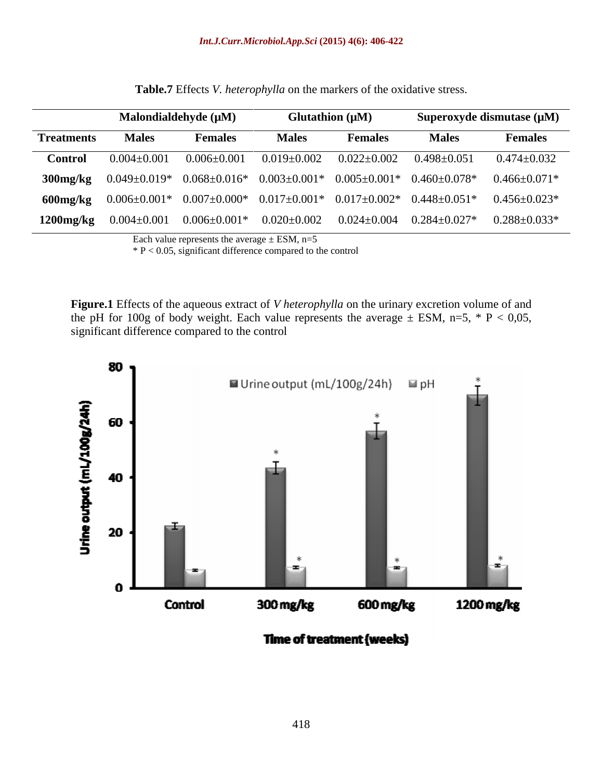|                   |                                                                                               | Malondialdehyde $(\mu M)$ |                   | Glutathion $(\mu M)$ | Superoxyde dismutase $(\mu M)$ |                                                                                                                |
|-------------------|-----------------------------------------------------------------------------------------------|---------------------------|-------------------|----------------------|--------------------------------|----------------------------------------------------------------------------------------------------------------|
| <b>Treatments</b> | <b>Males</b>                                                                                  | <b>Females</b>            | <b>Males</b>      | <b>Females</b>       | <b>Males</b>                   | <b>Females</b>                                                                                                 |
| Control           | $0.004 \pm 0.001$                                                                             | $0.006 \pm 0.001$         | $0.019{\pm}0.002$ | $0.022{\pm}0.002$    | $0.498 \pm 0.051$              | $0.474 \pm 0.032$                                                                                              |
|                   |                                                                                               |                           |                   |                      |                                | 300mg/kg $0.049\pm0.019*$ $0.068\pm0.016*$ $0.003\pm0.001*$ $0.005\pm0.001*$ $0.460\pm0.078*$ $0.466\pm0.071*$ |
|                   | 600mg/kg $0.006\pm0.001*$ $0.007\pm0.000*$ $0.017\pm0.001*$ $0.017\pm0.002*$ $0.448\pm0.051*$ |                           |                   |                      |                                | $0.456 \pm 0.023^*$                                                                                            |
| $1200$ mg/ $kg$   | $0.004 \pm 0.001$ $0.006 \pm 0.001^*$ $0.020 \pm 0.002$ $0.024 \pm 0.004$ $0.284 \pm 0.027^*$ |                           |                   |                      |                                | $0.288 {\pm} 0.033^{*}$                                                                                        |

**Table.7** Effects *V. heterophylla* on the markers of the oxidative stress.

Each value represents the average  $\pm$  ESM, n=5

 $*$  P < 0.05, significant difference compared to the control

**Figure.1** Effects of the aqueous extract of *V heterophylla* on the urinary excretion volume of and the pH for 100g of body weight. Each value represents the average  $\pm$  ESM, n=5,  $*$  P < 0,05, significant difference compared to the control



**Time of treatment (weeks)**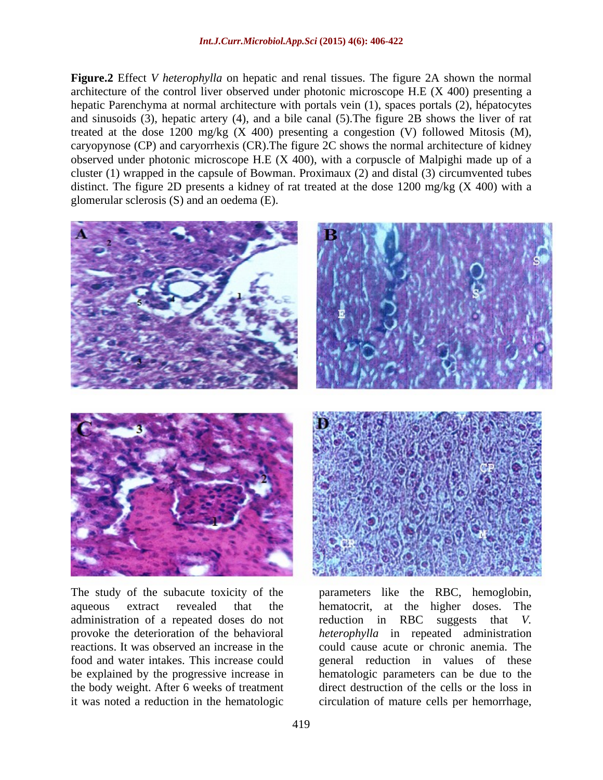**Figure.2** Effect *V heterophylla* on hepatic and renal tissues. The figure 2A shown the normal architecture of the control liver observed under photonic microscope H.E (X 400) presenting a hepatic Parenchyma at normal architecture with portals vein (1), spaces portals (2), hépatocytes and sinusoids (3), hepatic artery (4), and a bile canal (5).The figure 2B shows the liver of rat treated at the dose 1200 mg/kg  $(X 400)$  presenting a congestion  $(V)$  followed Mitosis  $(M)$ , caryopynose (CP) and caryorrhexis (CR).The figure 2C shows the normal architecture of kidney observed under photonic microscope H.E (X 400), with a corpuscle of Malpighi made up of a cluster (1) wrapped in the capsule of Bowman. Proximaux (2) and distal (3) circumvented tubes distinct. The figure 2D presents a kidney of rat treated at the dose 1200 mg/kg (X 400) with a glomerular sclerosis (S) and an oedema (E).



The study of the subacute toxicity of the parameters like the RBC, hemoglobin, aqueous extract revealed that the hematocrit, at the higher doses. The administration of a repeated doses do not reduction in RBC suggests that V. provoke the deterioration of the behavioral *heterophylla* in repeated administration reactions. It was observed an increase in the food and water intakes. This increase could general reduction in values of these be explained by the progressive increase in hematologic parameters can be due to the the body weight. After 6 weeks of treatment

it was noted a reduction in the hematologic circulation of mature cells per hemorrhage,reduction in RBC suggests that *V.*  could cause acute or chronic anemia. The direct destruction of the cells or the loss in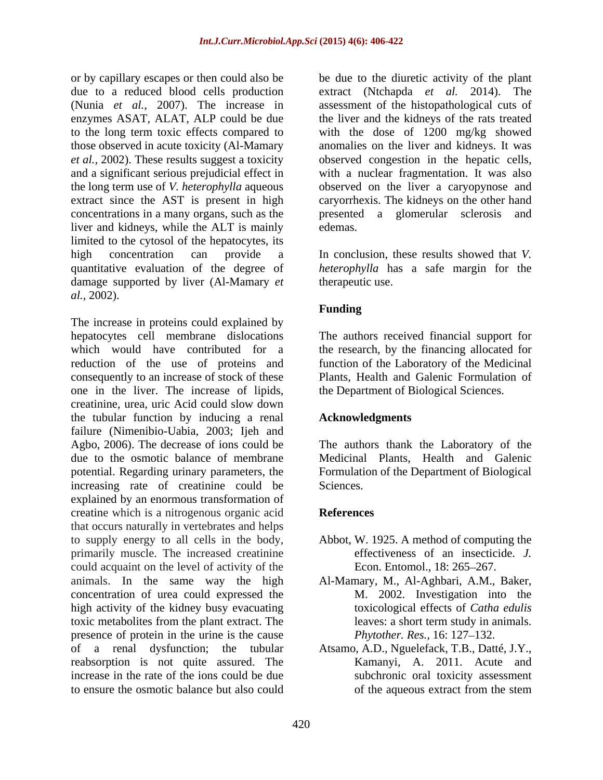or by capillary escapes or then could also be bedue to the diuretic activity of the plant due to a reduced blood cells production extract (Ntchapda *et al.* 2014). The (Nunia *et al.,* 2007). The increase in assessment of the histopathological cuts of enzymes ASAT, ALAT, ALP could be due the liver and the kidneys of the rats treated to the long term toxic effects compared to with the dose of 1200 mg/kg showed those observed in acute toxicity (Al-Mamary anomalies on the liver and kidneys. It was *et al.,* 2002). These results suggest a toxicity observed congestion in the hepatic cells, and a significant serious prejudicial effect in with a nuclear fragmentation. It was also the long term use of *V. heterophylla* aqueous observed on the liver a caryopynose and extract since the AST is present in high caryorrhexis. The kidneys on the other hand concentrations in a many organs, such as the stress presented a glomerular sclerosis and liver and kidneys, while the ALT is mainly limited to the cytosol of the hepatocytes, its high concentration can provide a In conclusion, these results showed that *V.*  quantitative evaluation of the degree of *heterophylla* has a safe margin for the damage supported by liver (Al-Mamary *et al.,* 2002).

The increase in proteins could explained by hepatocytes cell membrane dislocations The authors received financial support for which would have contributed for a the research, by the financing allocated for reduction of the use of proteins and function of the Laboratory of the Medicinal consequently to an increase of stock of these one in the liver. The increase of lipids, creatinine, urea, uric Acid could slow down the tubular function by inducing a renal failure (Nimenibio-Uabia, 2003; Ijeh and Agbo, 2006). The decrease of ions could be The authors thank the Laboratory of the due to the osmotic balance of membrane potential. Regarding urinary parameters, the Formulation of the Department of Biological increasing rate of creatinine could be Sciences. explained by an enormous transformation of creatine which is a nitrogenous organic acid that occurs naturally in vertebrates and helps to supply energy to all cells in the body, Abbot, W. 1925. A method of computing the primarily muscle. The increased creatinine could acquaint on the level of activity of the animals. In the same way the high Al-Mamary, M., Al-Aghbari, A.M., Baker, concentration of urea could expressed the high activity of the kidney busy evacuating toxic metabolites from the plant extract. The presence of protein in the urine is the cause of a renal dysfunction; the tubular Atsamo, A.D., Nguelefack, T.B., Datté, J.Y., reabsorption is not quite assured. The increase in the rate of the ions could be due to ensure the osmotic balance but also could

presented a glomerular sclerosis edemas. The set of the set of the set of the set of the set of the set of the set of the set of the set of the set of the set of the set of the set of the set of the set of the set of the set of the set of the set of the s

therapeutic use.

### **Funding**

Plants, Health and Galenic Formulation of the Department of Biological Sciences.

### **Acknowledgments**

Medicinal Plants, Health and Galenic Sciences.

### **References**

- effectiveness of an insecticide. *J.* Econ. Entomol., 18: 265–267.
- M. 2002. Investigation into the toxicological effects of *Catha edulis* leaves: a short term study in animals. *Phytother. Res., 16: 127-132.*
- Kamanyi, A. 2011. Acute and subchronic oral toxicity assessment of the aqueous extract from the stem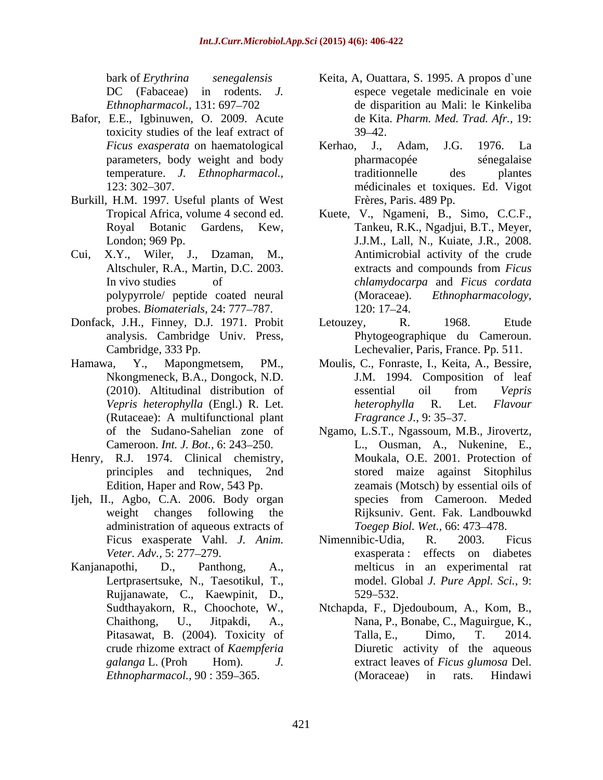- Bafor, E.E., Igbinuwen, O. 2009. Acute toxicity studies of the leaf extract of
- Burkill, H.M. 1997. Useful plants of West
- probes. *Biomaterials*, 24: 777–787. 120: 17–24.
- Donfack, J.H., Finney, D.J. 1971. Probit Letouzey, R. 1968. Etude
- Nkongmeneck, B.A., Dongock, N.D. (Rutaceae): A multifunctional plant Fragrance J., 9:35–37.
- Henry, R.J. 1974. Clinical chemistry,
- administration of aqueous extracts of
- Lertprasertsuke, N., Taesotikul, T., Rujjanawate, C., Kaewpinit, D., Sudthayakorn, R., Choochote, W., Ntchapda, F., Djedouboum, A., Kom, B.,
- bark of *Erythrina senegalensis*  Keita, A, Ouattara, S. 1995. A propos d`une DC (Fabaceae) in rodents. *J.* espece vegetale medicinale en voie *Ethnopharmacol.*, 131: 697–702 de disparition au Mali: le Kinkeliba de Kita. *Pharm. Med. Trad. Afr.,* 19:  $39 - 42.$
- *Ficus exasperata* on haematological parameters, body weight and body temperature. *J. Ethnopharmacol.,* 123: 302 307. médicinales et toxiques. Ed. Vigot Kerhao, J., Adam, J.G. 1976. La pharmacopée sénegalaise traditionnelle des plantes Frères, Paris. 489 Pp.
- Tropical Africa, volume 4 second ed. Kuete, V., Ngameni, B., Simo, C.C.F., Royal Botanic Gardens, Kew, Tankeu, R.K., Ngadjui, B.T., Meyer, London; 969 Pp. J.J.M., Lall, N., Kuiate, J.R., 2008. Cui, X.Y., Wiler, J., Dzaman, M., Antimicrobial activity of the crude Altschuler, R.A., Martin, D.C. 2003. extracts and compounds from *Ficus* In vivo studies of *chlamydocarpa* and *Ficus cordata* polypyrrole/ peptide coated neural extracts and compounds from *Ficus*  (Moraceae). *Ethnopharmacology*, 120: 17–24.
	- analysis. Cambridge Univ. Press, Phytogeographique du Cameroun. Cambridge, 333 Pp. Lechevalier, Paris, France. Pp. 511. Letouzey, R. 1968. Etude
- Hamawa, Y., Mapongmetsem, PM., Moulis, C., Fonraste, I., Keita, A., Bessire, (2010). Altitudinal distribution of essential oil from Vepris *Vepris heterophylla* (Engl.) R. Let. J.M. 1994. Composition of leaf essential oil from *Vepris heterophylla* R. Let. *Flavour Fragrance J., 9:* 35–37.
- of the Sudano-Sahelian zone of Ngamo, L.S.T., Ngassoum, M.B., Jirovertz, Cameroon. *Int. J. Bot.*, 6: 243–250. L., Ousman, A., Nukenine, E., principles and techniques, 2nd stored maize against Sitophilus Edition, Haper and Row, 543 Pp. zeamais (Motsch) by essential oils of Ijeh, II., Agbo, C.A. 2006. Body organ species from Cameroon. Meded weight changes following the Rijksuniv. Gent. Fak. Landbouwkd Moukala, O.E. 2001. Protection of species from Cameroon. Meded *Toegep Biol. Wet., 66: 473-478.*
- Ficus exasperate Vahl. *J. Anim. Veter. Adv.,* 5: 277–279. **Example 20** exasperata: effects on diabetes Kanjanapothi, D., Panthong, A., melticus in an experimental rat Nimennibic-Udia, R. 2003. Ficus exasperata : effects on diabetes model. Global *J. Pure Appl. Sci.,* 9: 529 532.
	- Chaithong, U., Jitpakdi, A., Nana, P., Bonabe, C., Maguirgue, K., Pitasawat, B. (2004). Toxicity of Talla, E., Dimo, T. 2014. crude rhizome extract of *Kaempferia*  Diuretic activity of the aqueous *galanga* L. (Proh Hom). *J.* extract leaves of *Ficus glumosa* Del. *Ethnopharmacol.,* 90:359–365. (Moraceae) in rats. Hindawi Talla, E., Dimo, T. 2014. (Moraceae) in rats. Hindawi